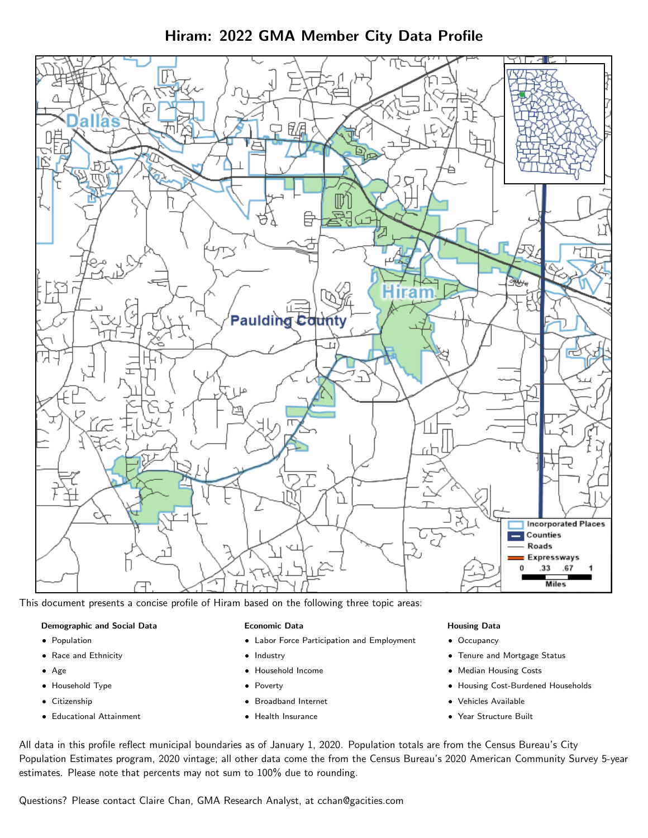Hiram: 2022 GMA Member City Data Profile



This document presents a concise profile of Hiram based on the following three topic areas:

#### Demographic and Social Data

- **•** Population
- Race and Ethnicity
- Age
- Household Type
- **Citizenship**
- Educational Attainment

#### Economic Data

- Labor Force Participation and Employment
- Industry
- Household Income
- Poverty
- Broadband Internet
- Health Insurance

#### Housing Data

- Occupancy
- Tenure and Mortgage Status
- Median Housing Costs
- Housing Cost-Burdened Households
- Vehicles Available
- Year Structure Built

All data in this profile reflect municipal boundaries as of January 1, 2020. Population totals are from the Census Bureau's City Population Estimates program, 2020 vintage; all other data come the from the Census Bureau's 2020 American Community Survey 5-year estimates. Please note that percents may not sum to 100% due to rounding.

Questions? Please contact Claire Chan, GMA Research Analyst, at [cchan@gacities.com.](mailto:cchan@gacities.com)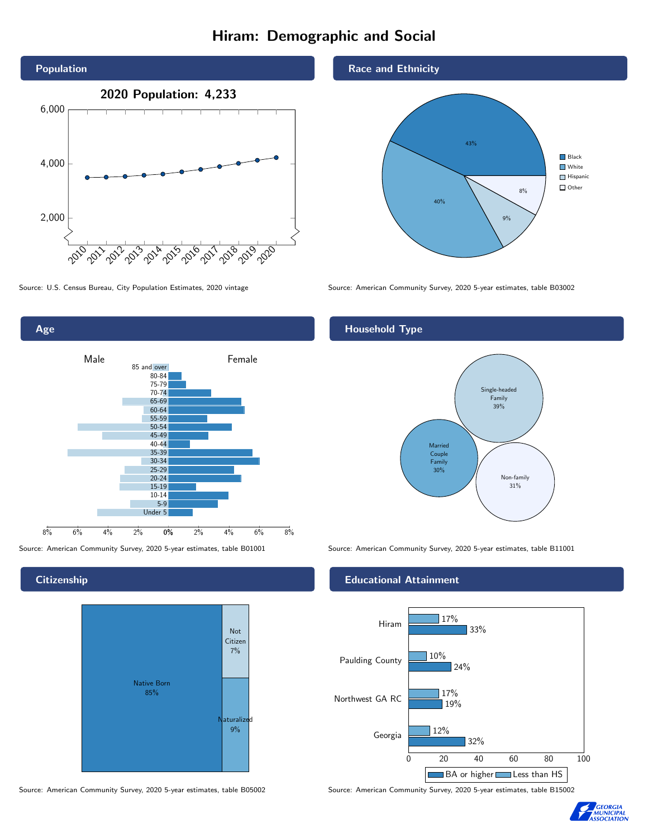# Hiram: Demographic and Social





**Citizenship** 



Source: American Community Survey, 2020 5-year estimates, table B05002 Source: American Community Survey, 2020 5-year estimates, table B15002

Race and Ethnicity



Source: U.S. Census Bureau, City Population Estimates, 2020 vintage Source: American Community Survey, 2020 5-year estimates, table B03002

## Household Type



Source: American Community Survey, 2020 5-year estimates, table B01001 Source: American Community Survey, 2020 5-year estimates, table B11001

#### Educational Attainment



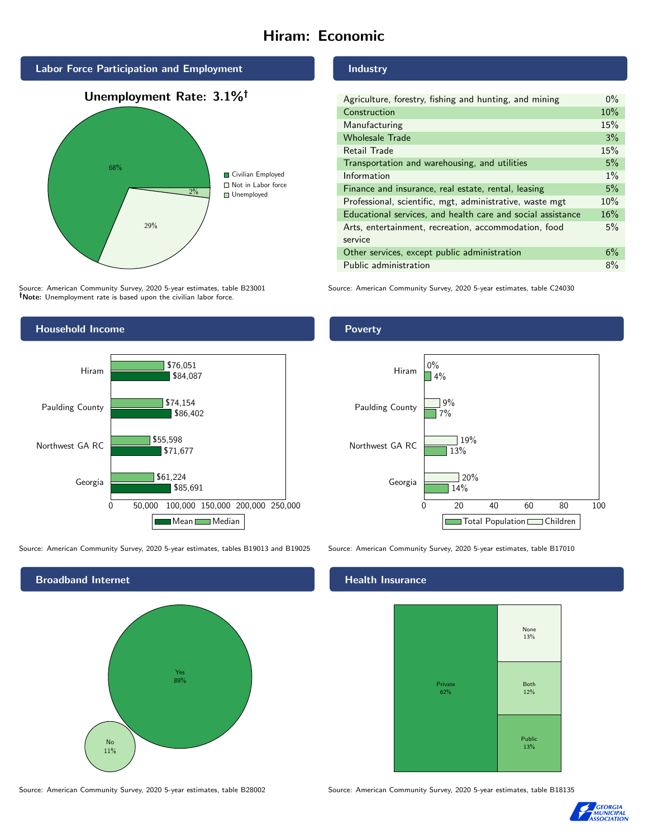# Hiram: Economic



Source: American Community Survey, 2020 5-year estimates, table B23001 Note: Unemployment rate is based upon the civilian labor force.



Source: American Community Survey, 2020 5-year estimates, tables B19013 and B19025 Source: American Community Survey, 2020 5-year estimates, table B17010



#### Industry

| Agriculture, forestry, fishing and hunting, and mining      | $0\%$ |
|-------------------------------------------------------------|-------|
| Construction                                                | 10%   |
| Manufacturing                                               | 15%   |
| <b>Wholesale Trade</b>                                      | 3%    |
| Retail Trade                                                | 15%   |
| Transportation and warehousing, and utilities               | 5%    |
| Information                                                 | $1\%$ |
| Finance and insurance, real estate, rental, leasing         | 5%    |
| Professional, scientific, mgt, administrative, waste mgt    | 10%   |
| Educational services, and health care and social assistance | 16%   |
| Arts, entertainment, recreation, accommodation, food        | 5%    |
| service                                                     |       |
| Other services, except public administration                | 6%    |
| Public administration                                       | 8%    |

Source: American Community Survey, 2020 5-year estimates, table C24030





## **Health Insurance**



Source: American Community Survey, 2020 5-year estimates, table B28002 Source: American Community Survey, 2020 5-year estimates, table B18135